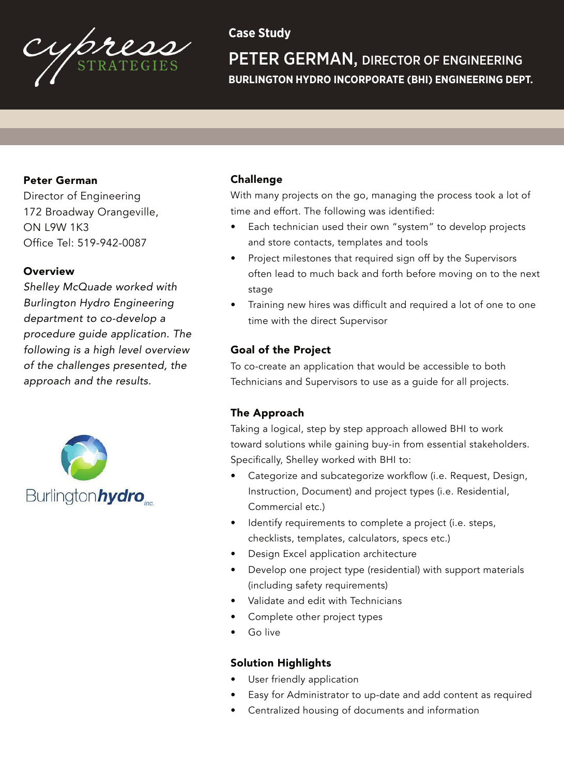

# **Case Study**

PETER GERMAN, DIRECTOR OF ENGINEERING **BURLINGTON HYDRO INCORPORATE (BHI) ENGINEERING DEPT.**

## Peter German

Director of Engineering 172 Broadway Orangeville, ON L9W 1K3 Office Tel: 519-942-0087

## **Overview**

*Shelley McQuade worked with Burlington Hydro Engineering department to co-develop a procedure guide application. The following is a high level overview of the challenges presented, the approach and the results.*



#### Challenge

With many projects on the go, managing the process took a lot of time and effort. The following was identified:

- Each technician used their own "system" to develop projects and store contacts, templates and tools
- Project milestones that required sign off by the Supervisors often lead to much back and forth before moving on to the next stage
- Training new hires was difficult and required a lot of one to one time with the direct Supervisor

## Goal of the Project

To co-create an application that would be accessible to both Technicians and Supervisors to use as a guide for all projects.

## The Approach

Taking a logical, step by step approach allowed BHI to work toward solutions while gaining buy-in from essential stakeholders. Specifically, Shelley worked with BHI to:

- Categorize and subcategorize workflow (i.e. Request, Design, Instruction, Document) and project types (i.e. Residential, Commercial etc.)
- Identify requirements to complete a project (i.e. steps, checklists, templates, calculators, specs etc.)
- Design Excel application architecture
- Develop one project type (residential) with support materials (including safety requirements)
- Validate and edit with Technicians
- Complete other project types
- Go live

## Solution Highlights

- User friendly application
- Easy for Administrator to up-date and add content as required
- Centralized housing of documents and information